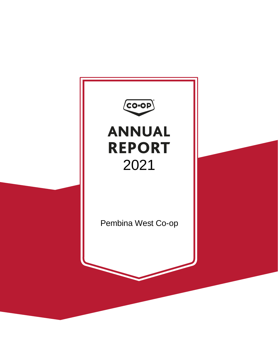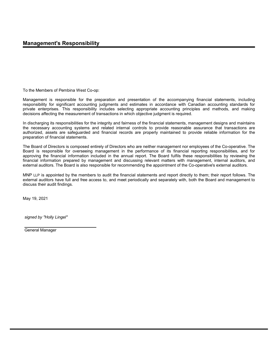To the Members of Pembina West Co-op:

Management is responsible for the preparation and presentation of the accompanying financial statements, including responsibility for significant accounting judgments and estimates in accordance with Canadian accounting standards for private enterprises. This responsibility includes selecting appropriate accounting principles and methods, and making decisions affecting the measurement of transactions in which objective judgment is required.

In discharging its responsibilities for the integrity and fairness of the financial statements, management designs and maintains the necessary accounting systems and related internal controls to provide reasonable assurance that transactions are authorized, assets are safeguarded and financial records are properly maintained to provide reliable information for the preparation of financial statements.

The Board of Directors is composed entirely of Directors who are neither management nor employees of the Co-operative. The Board is responsible for overseeing management in the performance of its financial reporting responsibilities, and for approving the financial information included in the annual report. The Board fulfils these responsibilities by reviewing the financial information prepared by management and discussing relevant matters with management, internal auditors, and external auditors. The Board is also responsible for recommending the appointment of the Co-operative's external auditors.

MNP LLP is appointed by the members to audit the financial statements and report directly to them; their report follows. The external auditors have full and free access to, and meet periodically and separately with, both the Board and management to discuss their audit findings.

May 19, 2021

*signed by "Holly Lingel"*

General Manager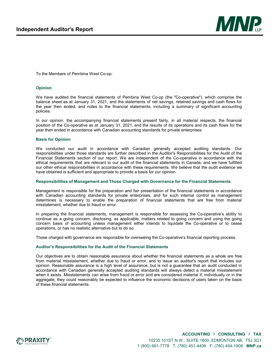

To the Members of Pembina West Co-op:

#### **Opinion**

We have audited the financial statements of Pembina West Co-op (the "Co-operative"), which comprise the balance sheet as at January 31, 2021, and the statements of net savings, retained savings and cash flows for the year then ended, and notes to the financial statements, including a summary of significant accounting policies.

In our opinion, the accompanying financial statements present fairly, in all material respects, the financial position of the Co-operative as at January 31, 2021, and the results of its operations and its cash flows for the year then ended in accordance with Canadian accounting standards for private enterprises.

#### **Basis for Opinion**

We conducted our audit in accordance with Canadian generally accepted auditing standards. Our responsibilities under those standards are further described in the Auditor's Responsibilities for the Audit of the Financial Statements section of our report. We are independent of the Co-operative in accordance with the ethical requirements that are relevant to our audit of the financial statements in Canada, and we have fulfilled our other ethical responsibilities in accordance with these requirements. We believe that the audit evidence we have obtained is sufficient and appropriate to provide a basis for our opinion.

#### **Responsibilities of Management and Those Charged with Governance for the Financial Statements**

Management is responsible for the preparation and fair presentation of the financial statements in accordance with Canadian accounting standards for private enterprises, and for such internal control as management determines is necessary to enable the preparation of financial statements that are free from material misstatement, whether due to fraud or error.

In preparing the financial statements, management is responsible for assessing the Co-operative's ability to continue as a going concern, disclosing, as applicable, matters related to going concern and using the going concern basis of accounting unless management either intends to liquidate the Co-operative or to cease operations, or has no realistic alternative but to do so.

Those charged with governance are responsible for overseeing the Co-operative's financial reporting process.

#### **Auditor's Responsibilities for the Audit of the Financial Statements**

Our objectives are to obtain reasonable assurance about whether the financial statements as a whole are free from material misstatement, whether due to fraud or error, and to issue an auditor's report that includes our opinion. Reasonable assurance is a high level of assurance, but is not a guarantee that an audit conducted in accordance with Canadian generally accepted auditing standards will always detect a material misstatement when it exists. Misstatements can arise from fraud or error and are considered material if, individually or in the aggregate, they could reasonably be expected to influence the economic decisions of users taken on the basis of these financial statements.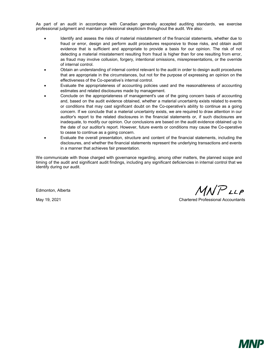As part of an audit in accordance with Canadian generally accepted auditing standards, we exercise professional judgment and maintain professional skepticism throughout the audit. We also:

- Identify and assess the risks of material misstatement of the financial statements, whether due to fraud or error, design and perform audit procedures responsive to those risks, and obtain audit evidence that is sufficient and appropriate to provide a basis for our opinion. The risk of not detecting a material misstatement resulting from fraud is higher than for one resulting from error, as fraud may involve collusion, forgery, intentional omissions, misrepresentations, or the override of internal control.
- Obtain an understanding of internal control relevant to the audit in order to design audit procedures that are appropriate in the circumstances, but not for the purpose of expressing an opinion on the effectiveness of the Co-operative's internal control.
- Evaluate the appropriateness of accounting policies used and the reasonableness of accounting estimates and related disclosures made by management.
- Conclude on the appropriateness of management's use of the going concern basis of accounting and, based on the audit evidence obtained, whether a material uncertainty exists related to events or conditions that may cast significant doubt on the Co-operative's ability to continue as a going concern. If we conclude that a material uncertainty exists, we are required to draw attention in our auditor's report to the related disclosures in the financial statements or, if such disclosures are inadequate, to modify our opinion. Our conclusions are based on the audit evidence obtained up to the date of our auditor's report. However, future events or conditions may cause the Co-operative to cease to continue as a going concern.
- Evaluate the overall presentation, structure and content of the financial statements, including the disclosures, and whether the financial statements represent the underlying transactions and events in a manner that achieves fair presentation.

We communicate with those charged with governance regarding, among other matters, the planned scope and timing of the audit and significant audit findings, including any significant deficiencies in internal control that we identify during our audit.

Edmonton, Alberta

 $M N P$ LLP

May 19, 2021 Chartered Professional Accountants

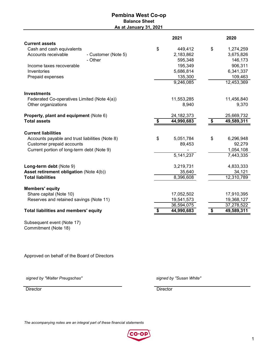# **Balance Sheet Pembina West Co-op**

**As at January 31, 2021**

|                                                 |                     | 2021             | 2020             |
|-------------------------------------------------|---------------------|------------------|------------------|
| <b>Current assets</b>                           |                     |                  |                  |
| Cash and cash equivalents                       |                     | \$<br>449,412    | \$<br>1,274,259  |
| Accounts receivable                             | - Customer (Note 5) | 2,183,862        | 3,675,826        |
|                                                 | - Other             | 595,348          | 146,173          |
| Income taxes recoverable                        |                     | 195,349          | 906,311          |
| Inventories                                     |                     | 5,686,814        | 6,341,337        |
| Prepaid expenses                                |                     | 135,300          | 109,463          |
|                                                 |                     | 9,246,085        | 12,453,369       |
| <b>Investments</b>                              |                     |                  |                  |
| Federated Co-operatives Limited (Note 4(a))     |                     | 11,553,285       | 11,456,840       |
| Other organizations                             |                     | 8,940            | 9,370            |
| Property, plant and equipment (Note 6)          |                     | 24, 182, 373     | 25,669,732       |
| <b>Total assets</b>                             |                     | \$<br>44,990,683 | \$<br>49,589,311 |
| <b>Current liabilities</b>                      |                     |                  |                  |
| Accounts payable and trust liabilities (Note 8) |                     | \$<br>5,051,784  | \$<br>6,296,948  |
| Customer prepaid accounts                       |                     | 89,453           | 92,279           |
| Current portion of long-term debt (Note 9)      |                     |                  | 1,054,108        |
|                                                 |                     | 5,141,237        | 7,443,335        |
| Long-term debt (Note 9)                         |                     | 3,219,731        | 4,833,333        |
| <b>Asset retirement obligation (Note 4(b))</b>  |                     | 35,640           | 34,121           |
| <b>Total liabilities</b>                        |                     | 8,396,608        | 12,310,789       |
| <b>Members' equity</b>                          |                     |                  |                  |
| Share capital (Note 10)                         |                     | 17,052,502       | 17,910,395       |
| Reserves and retained savings (Note 11)         |                     | 19,541,573       | 19,368,127       |
|                                                 |                     | 36,594,075       | 37,278,522       |
| <b>Total liabilities and members' equity</b>    |                     | \$<br>44,990,683 | \$<br>49,589,311 |
|                                                 |                     |                  |                  |

Subsequent event (Note 17) Commitment (Note 18)

Approved on behalf of the Board of Directors

*signed by "Walter Preugschas" signed by "Susan White"*

Director Director Director

*The accompanying notes are an integral part of these financial statements*

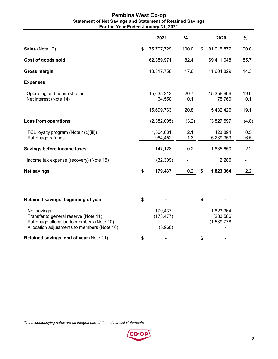# **For the Year Ended January 31, 2021 Statement of Net Savings and Statement of Retained Savings Pembina West Co-op**

|                                                                                                                                                  | 2021                             | $\%$        | 2020                                   | $\%$        |
|--------------------------------------------------------------------------------------------------------------------------------------------------|----------------------------------|-------------|----------------------------------------|-------------|
| Sales (Note 12)                                                                                                                                  | \$<br>75,707,729                 | 100.0       | \$<br>81,015,877                       | 100.0       |
| Cost of goods sold                                                                                                                               | 62,389,971                       | 82.4        | 69,411,048                             | 85.7        |
| <b>Gross margin</b>                                                                                                                              | 13,317,758                       | 17.6        | 11,604,829                             | 14.3        |
| <b>Expenses</b>                                                                                                                                  |                                  |             |                                        |             |
| Operating and administration<br>Net interest (Note 14)                                                                                           | 15,635,213<br>64,550             | 20.7<br>0.1 | 15,356,666<br>75,760                   | 19.0<br>0.1 |
|                                                                                                                                                  | 15,699,763                       | 20.8        | 15,432,426                             | 19.1        |
| <b>Loss from operations</b>                                                                                                                      | (2,382,005)                      | (3.2)       | (3,827,597)                            | (4.8)       |
| FCL loyalty program (Note 4(c)(iii))<br>Patronage refunds                                                                                        | 1,564,681<br>964,452             | 2.1<br>1.3  | 423,894<br>5,239,353                   | 0.5<br>6.5  |
| Savings before income taxes                                                                                                                      | 147,128                          | 0.2         | 1,835,650                              | 2.2         |
| Income tax expense (recovery) (Note 15)                                                                                                          | (32, 309)                        |             | 12,286                                 |             |
| <b>Net savings</b>                                                                                                                               | \$<br>179,437                    | 0.2         | \$<br>1,823,364                        | 2.2         |
|                                                                                                                                                  |                                  |             |                                        |             |
| Retained savings, beginning of year                                                                                                              | \$                               |             | \$                                     |             |
| Net savings<br>Transfer to general reserve (Note 11)<br>Patronage allocation to members (Note 10)<br>Allocation adjustments to members (Note 10) | 179,437<br>(173, 477)<br>(5,960) |             | 1,823,364<br>(283, 586)<br>(1,539,778) |             |
| Retained savings, end of year (Note 11)                                                                                                          | \$                               |             | \$                                     |             |

*The accompanying notes are an integral part of these financial statements*

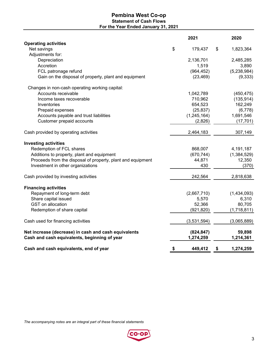## **For the Year Ended January 31, 2021 Statement of Cash Flows Pembina West Co-op**

|                                                             | 2021          | 2020            |
|-------------------------------------------------------------|---------------|-----------------|
| <b>Operating activities</b>                                 |               |                 |
| Net savings                                                 | \$<br>179,437 | \$<br>1,823,364 |
| Adjustments for:                                            |               |                 |
| Depreciation                                                | 2,136,701     | 2,485,285       |
| Accretion                                                   | 1,519         | 3,890           |
| FCL patronage refund                                        | (964, 452)    | (5,238,984)     |
| Gain on the disposal of property, plant and equipment       | (23, 469)     | (9, 333)        |
| Changes in non-cash operating working capital:              |               |                 |
| Accounts receivable                                         | 1,042,789     | (450, 475)      |
| Income taxes recoverable                                    | 710,962       | (135, 914)      |
| Inventories                                                 | 654,523       | 162,249         |
| Prepaid expenses                                            | (25, 837)     | (6,778)         |
| Accounts payable and trust liabilities                      | (1, 245, 164) | 1,691,546       |
| Customer prepaid accounts                                   | (2,826)       | (17, 701)       |
| Cash provided by operating activities                       | 2,464,183     | 307,149         |
| <b>Investing activities</b>                                 |               |                 |
| Redemption of FCL shares                                    | 868,007       | 4,191,187       |
| Additions to property, plant and equipment                  | (670, 744)    | (1,384,529)     |
| Proceeds from the disposal of property, plant and equipment | 44,871        | 12,350          |
| Investment in other organizations                           | 430           | (370)           |
| Cash provided by investing activities                       | 242,564       | 2,818,638       |
| <b>Financing activities</b>                                 |               |                 |
| Repayment of long-term debt                                 | (2,667,710)   | (1,434,093)     |
| Share capital issued                                        | 5,570         | 6,310           |
| <b>GST</b> on allocation                                    | 52,366        | 80,705          |
| Redemption of share capital                                 | (921, 820)    | (1,718,811)     |
| Cash used for financing activities                          | (3,531,594)   | (3,065,889)     |
| Net increase (decrease) in cash and cash equivalents        | (824, 847)    | 59,898          |
| Cash and cash equivalents, beginning of year                | 1,274,259     | 1,214,361       |
| Cash and cash equivalents, end of year                      | \$<br>449,412 | \$<br>1,274,259 |

*The accompanying notes are an integral part of these financial statements*

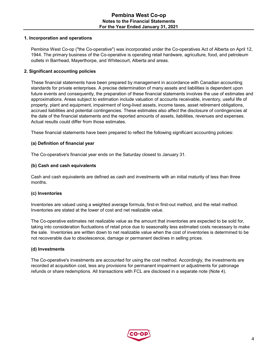#### **1. Incorporation and operations**

Pembina West Co-op ("the Co-operative") was incorporated under the Co-operatives Act of Alberta on April 12, 1944. The primary business of the Co-operative is operating retail hardware, agriculture, food, and petroleum outlets in Barrhead, Mayerthorpe, and Whitecourt, Alberta and areas.

#### **2. Significant accounting policies**

These financial statements have been prepared by management in accordance with Canadian accounting standards for private enterprises. A precise determination of many assets and liabilities is dependent upon future events and consequently, the preparation of these financial statements involves the use of estimates and approximations. Areas subject to estimation include valuation of accounts receivable, inventory, useful life of property, plant and equipment, impairment of long-lived assets, income taxes, asset retirement obligations, accrued liabilities and potential contingencies. These estimates also affect the disclosure of contingencies at the date of the financial statements and the reported amounts of assets, liabilities, revenues and expenses. Actual results could differ from those estimates.

These financial statements have been prepared to reflect the following significant accounting policies:

#### **(a) Definition of financial year**

The Co-operative's financial year ends on the Saturday closest to January 31.

#### **(b) Cash and cash equivalents**

Cash and cash equivalents are defined as cash and investments with an initial maturity of less than three months.

#### **(c) Inventories**

Inventories are valued using a weighted average formula, first-in first-out method, and the retail method. Inventories are stated at the lower of cost and net realizable value.

The Co-operative estimates net realizable value as the amount that inventories are expected to be sold for, taking into consideration fluctuations of retail price due to seasonality less estimated costs necessary to make the sale. Inventories are written down to net realizable value when the cost of inventories is determined to be not recoverable due to obsolescence, damage or permanent declines in selling prices.

#### **(d) Investments**

The Co-operative's investments are accounted for using the cost method. Accordingly, the investments are recorded at acquisition cost, less any provisions for permanent impairment or adjustments for patronage refunds or share redemptions. All transactions with FCL are disclosed in a separate note (Note 4).

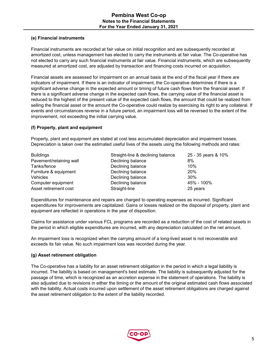## **(e) Financial instruments**

Financial instruments are recorded at fair value on initial recognition and are subsequently recorded at amortized cost, unless management has elected to carry the instruments at fair value. The Co-operative has not elected to carry any such financial instruments at fair value. Financial instruments, which are subsequently measured at amortized cost, are adjusted by transaction and financing costs incurred on acquisition.

Financial assets are assessed for impairment on an annual basis at the end of the fiscal year if there are indicators of impairment. If there is an indicator of impairment, the Co-operative determines if there is a significant adverse change in the expected amount or timing of future cash flows from the financial asset. If there is a significant adverse change in the expected cash flows, the carrying value of the financial asset is reduced to the highest of the present value of the expected cash flows, the amount that could be realized from selling the financial asset or the amount the Co-operative could realize by exercising its right to any collateral. If events and circumstances reverse in a future period, an impairment loss will be reversed to the extent of the improvement, not exceeding the initial carrying value.

## **(f) Property, plant and equipment**

Property, plant and equipment are stated at cost less accumulated depreciation and impairment losses. Depreciation is taken over the estimated useful lives of the assets using the following methods and rates:

| Straight-line & declining balance<br><b>Buildings</b> |                   | 25 - 35 years & 10% |
|-------------------------------------------------------|-------------------|---------------------|
| Pavement/retaining wall                               | Declining balance | 8%                  |
| Tanks/fence                                           | Declining balance | 10%                 |
| Furniture & equipment                                 | Declining balance | <b>20%</b>          |
| Vehicles                                              | Declining balance | 30%                 |
| Computer equipment                                    | Declining balance | 45% - 100%          |
| Asset retirement cost                                 | Straight-line     | 25 years            |

Expenditures for maintenance and repairs are charged to operating expenses as incurred. Significant expenditures for improvements are capitalized. Gains or losses realized on the disposal of property, plant and equipment are reflected in operations in the year of disposition.

Claims for assistance under various FCL programs are recorded as a reduction of the cost of related assets in the period in which eligible expenditures are incurred, with any depreciation calculated on the net amount.

An impairment loss is recognized when the carrying amount of a long-lived asset is not recoverable and exceeds its fair value. No such impairment loss was recorded during the year.

#### **(g) Asset retirement obligation**

The Co-operative has a liability for an asset retirement obligation in the period in which a legal liability is incurred. The liability is based on management's best estimate. The liability is subsequently adjusted for the passage of time, which is recognized as an accretion expense in the statement of operations. The liability is also adjusted due to revisions in either the timing or the amount of the original estimated cash flows associated with the liability. Actual costs incurred upon settlement of the asset retirement obligations are charged against the asset retirement obligation to the extent of the liability recorded.

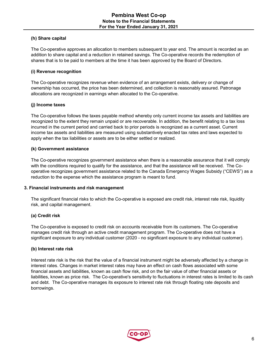#### **(h) Share capital**

The Co-operative approves an allocation to members subsequent to year end. The amount is recorded as an addition to share capital and a reduction in retained savings. The Co-operative records the redemption of shares that is to be paid to members at the time it has been approved by the Board of Directors.

## **(i) Revenue recognition**

The Co-operative recognizes revenue when evidence of an arrangement exists, delivery or change of ownership has occurred, the price has been determined, and collection is reasonably assured. Patronage allocations are recognized in earnings when allocated to the Co-operative.

## **(j) Income taxes**

The Co-operative follows the taxes payable method whereby only current income tax assets and liabilities are recognized to the extent they remain unpaid or are recoverable. In addition, the benefit relating to a tax loss incurred in the current period and carried back to prior periods is recognized as a current asset. Current income tax assets and liabilities are measured using substantively enacted tax rates and laws expected to apply when the tax liabilities or assets are to be either settled or realized.

#### **(k) Government assistance**

The Co-operative recognizes government assistance when there is a reasonable assurance that it will comply with the conditions required to qualify for the assistance, and that the assistance will be received. The Cooperative recognizes government assistance related to the Canada Emergency Wages Subsidy ("CEWS") as a reduction to the expense which the assistance program is meant to fund.

#### **3. Financial instruments and risk management**

The significant financial risks to which the Co-operative is exposed are credit risk, interest rate risk, liquidity risk, and capital management.

#### **(a) Credit risk**

The Co-operative is exposed to credit risk on accounts receivable from its customers. The Co-operative manages credit risk through an active credit management program. The Co-operative does not have a significant exposure to any individual customer (2020 - no significant exposure to any individual customer).

#### **(b) Interest rate risk**

Interest rate risk is the risk that the value of a financial instrument might be adversely affected by a change in interest rates. Changes in market interest rates may have an effect on cash flows associated with some financial assets and liabilities, known as cash flow risk, and on the fair value of other financial assets or liabilities, known as price risk. The Co-operative's sensitivity to fluctuations in interest rates is limited to its cash and debt. The Co-operative manages its exposure to interest rate risk through floating rate deposits and borrowings.

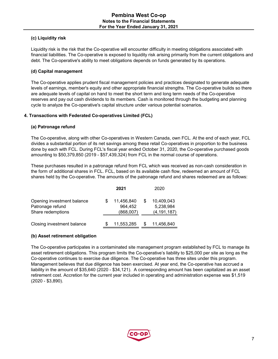## **(c) Liquidity risk**

Liquidity risk is the risk that the Co-operative will encounter difficulty in meeting obligations associated with financial liabilities. The Co-operative is exposed to liquidity risk arising primarily from the current obligations and debt. The Co-operative's ability to meet obligations depends on funds generated by its operations.

## **(d) Capital management**

The Co-operative applies prudent fiscal management policies and practices designated to generate adequate levels of earnings, member's equity and other appropriate financial strengths. The Co-operative builds so there are adequate levels of capital on hand to meet the short term and long term needs of the Co-operative reserves and pay out cash dividends to its members. Cash is monitored through the budgeting and planning cycle to analyze the Co-operative's capital structure under various potential scenarios.

## **4. Transactions with Federated Co-operatives Limited (FCL)**

## **(a) Patronage refund**

The Co-operative, along with other Co-operatives in Western Canada, own FCL. At the end of each year, FCL divides a substantial portion of its net savings among these retail Co-operatives in proportion to the business done by each with FCL. During FCL's fiscal year ended October 31, 2020, the Co-operative purchased goods amounting to \$50,379,850 (2019 - \$57,439,324) from FCL in the normal course of operations.

These purchases resulted in a patronage refund from FCL which was received as non-cash consideration in the form of additional shares in FCL. FCL, based on its available cash flow, redeemed an amount of FCL shares held by the Co-operative. The amounts of the patronage refund and shares redeemed are as follows:

|                                                                     | 2021                               | 2020                                     |
|---------------------------------------------------------------------|------------------------------------|------------------------------------------|
| Opening investment balance<br>Patronage refund<br>Share redemptions | 11,456,840<br>964,452<br>(868,007) | 10,409,043<br>5,238,984<br>(4, 191, 187) |
| Closing investment balance                                          | 11,553,285                         | 11,456,840                               |

#### **(b) Asset retirement obligation**

The Co-operative participates in a contaminated site management program established by FCL to manage its asset retirement obligations. This program limits the Co-operative's liability to \$25,000 per site as long as the Co-operative continues to exercise due diligence. The Co-operative has three sites under this program. Management believes that due diligence has been exercised. At year end, the Co-operative has accrued a liability in the amount of \$35,640 (2020 - \$34,121). A corresponding amount has been capitalized as an asset retirement cost. Accretion for the current year included in operating and administration expense was \$1,519 (2020 - \$3,890).

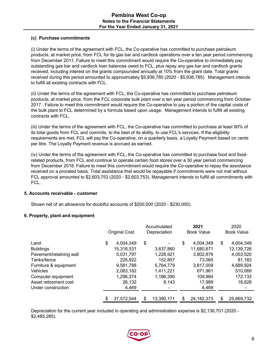## **(c) Purchase commitments**

(i) Under the terms of the agreement with FCL, the Co-operative has committed to purchase petroleum products, at market price, from FCL for its gas bar and cardlock operations over a ten year period commencing from December 2011. Failure to meet this commitment would require the Co-operative to immediately pay outstanding gas bar and cardlock loan balances owed to FCL, plus repay any gas bar and cardlock grants received, including interest on the grants compounded annually at 10% from the grant date. Total grants received during this period amounted to approximately \$5,936,785 (2020 - \$5,936,785). Management intends to fulfill all existing contracts with FCL.

(ii) Under the terms of the agreement with FCL, the Co-operative has committed to purchase petroleum products, at market price, from the FCL corporate bulk plant over a ten year period commencing from October 2017. Failure to meet this commitment would require the Co-operative to pay a portion of the capital costs of the bulk plant to FCL determined by a formula based upon usage. Management intends to fulfill all existing contracts with FCL.

(iii) Under the terms of the agreement with FCL, the Co-operative has committed to purchase at least 90% of its total goods from FCL and commits, to the best of its ability, to use FCL's services. If the eligibility requirements are met, FCL will pay the Co-operative, on a quarterly basis, a Loyalty Payment based on cents per litre. The Loyalty Payment revenue is accrued as earned.

(iv) Under the terms of the agreement with FCL, the Co-operative has committed to purchase food and foodrelated products, from FCL and continue to operate certain food stores over a 30 year period commencing from December 2018. Failure to meet this commitment would require the Co-operative to repay the assistance received on a prorated basis. Total assistance that would be repayable if commitments were not met without FCL approval amounted to \$2,603,753 (2020 - \$2,603,753). Management intends to fulfill all commitments with FCL.

#### **5. Accounts receivable - customer**

Shown net of an allowance for doubtful accounts of \$200,000 (2020 - \$230,000).

## **6. Property, plant and equipment**

|                         | <b>Original Cost</b> |    | Accumulated<br>Depreciation |    | 2021<br><b>Book Value</b> |    | 2020<br><b>Book Value</b> |
|-------------------------|----------------------|----|-----------------------------|----|---------------------------|----|---------------------------|
|                         |                      |    |                             |    |                           |    |                           |
| Land                    | \$<br>4,004,349      | \$ | $\blacksquare$              | \$ | 4,004,349                 | \$ | 4,004,349                 |
| <b>Buildings</b>        | 15,318,531           |    | 3,637,860                   |    | 11,680,671                |    | 12,139,726                |
| Pavement/retaining wall | 5,031,797            |    | 1,228,921                   |    | 3,802,876                 |    | 4,053,520                 |
| Tanks/fence             | 225,922              |    | 152,857                     |    | 73.065                    |    | 81,183                    |
| Furniture & equipment   | 9.581.788            |    | 5.764.779                   |    | 3,817,009                 |    | 4,689,924                 |
| Vehicles                | 2,083,182            |    | 1.411.221                   |    | 671.961                   |    | 510,069                   |
| Computer equipment      | 1,296,374            |    | 1,186,390                   |    | 109,984                   |    | 172,133                   |
| Asset retirement cost   | 26,132               |    | 8.143                       |    | 17,989                    |    | 18,828                    |
| Under construction      | 4,469                |    | $\blacksquare$              |    | 4,469                     |    |                           |
|                         |                      |    |                             |    |                           |    |                           |
|                         | \$<br>37,572,544     | \$ | 13,390,171                  | S  | 24,182,373                | \$ | 25,669,732                |

Depreciation for the current year included in operating and administration expense is \$2,136,701 (2020 - \$2,485,285).

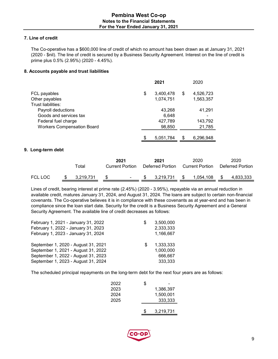## **7. Line of credit**

The Co-operative has a \$600,000 line of credit of which no amount has been drawn as at January 31, 2021 (2020 - \$nil). The line of credit is secured by a Business Security Agreement. Interest on the line of credit is prime plus 0.5% (2.95%) (2020 - 4.45%).

#### **8. Accounts payable and trust liabilities**

|                                   | 2021            |   | 2020      |
|-----------------------------------|-----------------|---|-----------|
| FCL payables                      | \$<br>3,400,478 | S | 4,526,723 |
| Other payables                    | 1,074,751       |   | 1,563,357 |
| Trust liabilities:                |                 |   |           |
| Payroll deductions                | 43,268          |   | 41,291    |
| Goods and services tax            | 6,648           |   |           |
| Federal fuel charge               | 427,789         |   | 143,792   |
| <b>Workers Compensation Board</b> | 98,850          |   | 21,785    |
|                                   | \$<br>5,051,784 | S | 6,296,948 |

#### **9. Long-term debt**

|         | ⊤otal     | 2021<br><b>Current Portion</b> | 2021<br>Deferred Portion | 2020<br>Current Portion | 2020<br>Deferred Portion |
|---------|-----------|--------------------------------|--------------------------|-------------------------|--------------------------|
| FCL LOC | 3.219.731 | $\sim$ 10 $\pm$                | 3.219.731                | 1,054,108               | 4.833.333                |

Lines of credit, bearing interest at prime rate (2.45%) (2020 - 3.95%), repayable via an annual reduction in available credit, matures January 31, 2024, and August 31, 2024. The loans are subject to certain non-financial covenants. The Co-operative believes it is in compliance with these covenants as at year-end and has been in compliance since the loan start date. Security for the credit is a Business Security Agreement and a General Security Agreement. The available line of credit decreases as follows:

| February 1, 2021 - January 31, 2022<br>February 1, 2022 - January 31, 2023<br>February 1, 2023 - January 31, 2024                                        | \$ | 3,500,000<br>2,333,333<br>1,166,667          |
|----------------------------------------------------------------------------------------------------------------------------------------------------------|----|----------------------------------------------|
| September 1, 2020 - August 31, 2021<br>September 1, 2021 - August 31, 2022<br>September 1, 2022 - August 31, 2023<br>September 1, 2023 - August 31, 2024 | S  | 1,333,333<br>1,000,000<br>666,667<br>333,333 |

The scheduled principal repayments on the long-term debt for the next four years are as follows:

| 2022 | \$              |
|------|-----------------|
| 2023 | 1,386,397       |
| 2024 | 1,500,001       |
| 2025 | 333,333         |
|      |                 |
|      | \$<br>3,219,731 |
|      |                 |

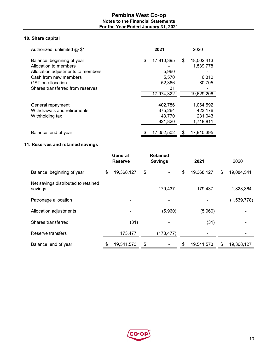# **Pembina West Co-op Notes to the Financial Statements For the Year Ended January 31, 2021**

# **10. Share capital**

| Authorized, unlimited @ \$1       | 2021 |            |    | 2020       |
|-----------------------------------|------|------------|----|------------|
| Balance, beginning of year        | \$   | 17,910,395 | \$ | 18,002,413 |
| Allocation to members             |      |            |    | 1,539,778  |
| Allocation adjustments to members |      | 5,960      |    |            |
| Cash from new members             |      | 5,570      |    | 6,310      |
| <b>GST</b> on allocation          |      | 52,366     |    | 80,705     |
| Shares transferred from reserves  |      | 31         |    |            |
|                                   |      | 17,974,322 |    | 19,629,206 |
| General repayment                 |      | 402,786    |    | 1,064,592  |
| Withdrawals and retirements       |      | 375,264    |    | 423.176    |
| Withholding tax                   |      | 143,770    |    | 231,043    |
|                                   |      | 921,820    |    | 1,718,811  |
| Balance, end of year              | \$   | 17,052,502 | \$ | 17,910,395 |

## **11. Reserves and retained savings**

|                                                | <b>General</b><br><b>Reserve</b> | <b>Retained</b><br><b>Savings</b> | 2021             | 2020             |
|------------------------------------------------|----------------------------------|-----------------------------------|------------------|------------------|
| Balance, beginning of year                     | \$<br>19,368,127                 | \$<br>$\overline{\phantom{0}}$    | \$<br>19,368,127 | \$<br>19,084,541 |
| Net savings distributed to retained<br>savings |                                  | 179,437                           | 179,437          | 1,823,364        |
| Patronage allocation                           |                                  | $\blacksquare$                    |                  | (1,539,778)      |
| Allocation adjustments                         |                                  | (5,960)                           | (5,960)          |                  |
| Shares transferred                             | (31)                             |                                   | (31)             |                  |
| Reserve transfers                              | 173,477                          | (173, 477)                        |                  |                  |
| Balance, end of year                           | \$<br>19,541,573                 | \$<br>۰                           | \$<br>19,541,573 | \$<br>19,368,127 |

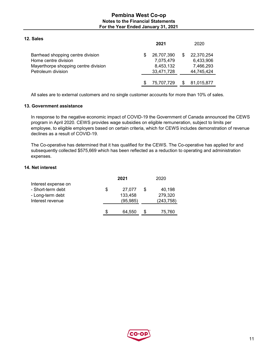# **Pembina West Co-op Notes to the Financial Statements For the Year Ended January 31, 2021**

#### **12. Sales**

| vulto                                                                                                                   |                                                          | 2021       |   | 2020                                                     |  |  |
|-------------------------------------------------------------------------------------------------------------------------|----------------------------------------------------------|------------|---|----------------------------------------------------------|--|--|
| Barrhead shopping centre division<br>Home centre division<br>Mayerthorpe shopping centre division<br>Petroleum division | 26,707,390<br>\$<br>7,075,479<br>8,453,132<br>33,471,728 |            |   | 22,370,254<br>\$<br>6,433,906<br>7.466.293<br>44,745,424 |  |  |
|                                                                                                                         |                                                          | 75,707,729 | S | 81,015,877                                               |  |  |

All sales are to external customers and no single customer accounts for more than 10% of sales.

#### **13. Government assistance**

In response to the negative economic impact of COVID-19 the Government of Canada announced the CEWS program in April 2020. CEWS provides wage subsidies on eligible remuneration, subject to limits per employee, to eligible employers based on certain criteria, which for CEWS includes demonstration of revenue declines as a result of COVID-19.

The Co-operative has determined that it has qualified for the CEWS. The Co-operative has applied for and subsequently collected \$575,669 which has been reflected as a reduction to operating and administration expenses.

## **14. Net interest**

|                                                                                  |    | 2021                           | 2020                            |
|----------------------------------------------------------------------------------|----|--------------------------------|---------------------------------|
| Interest expense on<br>- Short-term debt<br>- Long-term debt<br>Interest revenue | S  | 27,077<br>133,458<br>(95, 985) | 40,198<br>279,320<br>(243, 758) |
|                                                                                  | \$ | 64,550                         | 75.760                          |

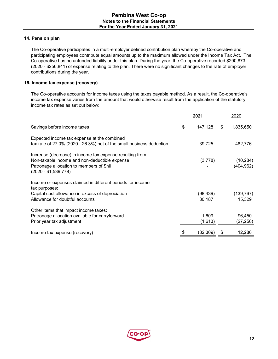#### **14. Pension plan**

The Co-operative participates in a multi-employer defined contribution plan whereby the Co-operative and participating employees contribute equal amounts up to the maximum allowed under the Income Tax Act. The Co-operative has no unfunded liability under this plan. During the year, the Co-operative recorded \$290,873 (2020 - \$256,841) of expense relating to the plan. There were no significant changes to the rate of employer contributions during the year.

#### **15. Income tax expense (recovery)**

The Co-operative accounts for income taxes using the taxes payable method. As a result, the Co-operative's income tax expense varies from the amount that would otherwise result from the application of the statutory income tax rates as set out below:

|                                                                                                                                                                                 | 2021               | 2020                   |
|---------------------------------------------------------------------------------------------------------------------------------------------------------------------------------|--------------------|------------------------|
| Savings before income taxes                                                                                                                                                     | \$<br>147,128      | \$<br>1,835,650        |
| Expected income tax expense at the combined<br>tax rate of 27.0% (2020 - 26.3%) net of the small business deduction                                                             | 39,725             | 482,776                |
| Increase (decrease) in income tax expense resulting from:<br>Non-taxable income and non-deductible expense<br>Patronage allocation to members of \$nil<br>$(2020 - $1,539,778)$ | (3,778)            | (10, 284)<br>(404,962) |
| Income or expenses claimed in different periods for income<br>tax purposes:                                                                                                     |                    |                        |
| Capital cost allowance in excess of depreciation<br>Allowance for doubtful accounts                                                                                             | (98,439)<br>30,187 | (139, 767)<br>15,329   |
| Other items that impact income taxes:<br>Patronage allocation available for carryforward<br>Prior year tax adjustment                                                           | 1,609<br>(1,613)   | 96,450<br>(27, 256)    |
| Income tax expense (recovery)                                                                                                                                                   | (32,309)           | 12,286                 |

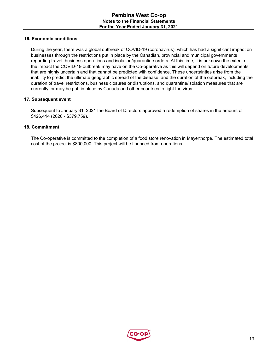#### **16. Economic conditions**

During the year, there was a global outbreak of COVID-19 (coronavirus), which has had a significant impact on businesses through the restrictions put in place by the Canadian, provincial and municipal governments regarding travel, business operations and isolation/quarantine orders. At this time, it is unknown the extent of the impact the COVID-19 outbreak may have on the Co-operative as this will depend on future developments that are highly uncertain and that cannot be predicted with confidence. These uncertainties arise from the inability to predict the ultimate geographic spread of the disease, and the duration of the outbreak, including the duration of travel restrictions, business closures or disruptions, and quarantine/isolation measures that are currently, or may be put, in place by Canada and other countries to fight the virus.

## **17. Subsequent event**

Subsequent to January 31, 2021 the Board of Directors approved a redemption of shares in the amount of \$426,414 (2020 - \$379,759).

#### **18. Commitment**

The Co-operative is committed to the completion of a food store renovation in Mayerthorpe. The estimated total cost of the project is \$800,000. This project will be financed from operations.

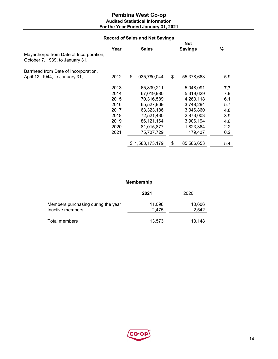# **For the Year Ended January 31, 2021 Audited Statistical Information Pembina West Co-op**

# **Record of Sales and Net Savings**

|                                                                            |      | <b>Net</b> |                 |    |                |     |
|----------------------------------------------------------------------------|------|------------|-----------------|----|----------------|-----|
|                                                                            | Year |            | <b>Sales</b>    |    | <b>Savings</b> | %   |
| Mayerthorpe from Date of Incorporation,<br>October 7, 1939, to January 31, |      |            |                 |    |                |     |
| Barrhead from Date of Incorporation,                                       |      |            |                 |    |                |     |
| April 12, 1944, to January 31,                                             | 2012 | \$         | 935,780,044     | \$ | 55,378,663     | 5.9 |
|                                                                            | 2013 |            | 65,839,211      |    | 5,048,091      | 7.7 |
|                                                                            | 2014 |            | 67,019,980      |    | 5,319,629      | 7.9 |
|                                                                            | 2015 |            | 70,316,589      |    | 4,263,118      | 6.1 |
|                                                                            | 2016 |            | 65,527,969      |    | 3,748,294      | 5.7 |
|                                                                            | 2017 |            | 63,323,186      |    | 3,046,860      | 4.8 |
|                                                                            | 2018 |            | 72,521,430      |    | 2,873,003      | 3.9 |
|                                                                            | 2019 |            | 86,121,164      |    | 3,906,194      | 4.6 |
|                                                                            | 2020 |            | 81,015,877      |    | 1,823,364      | 2.2 |
|                                                                            | 2021 |            | 75,707,729      |    | 179,437        | 0.2 |
|                                                                            |      |            | \$1,583,173,179 | \$ | 85.586.653     | 5.4 |

## **Membership**

|                                                        | 2021            | 2020            |
|--------------------------------------------------------|-----------------|-----------------|
| Members purchasing during the year<br>Inactive members | 11,098<br>2,475 | 10,606<br>2,542 |
| Total members                                          | 13,573          | 13,148          |